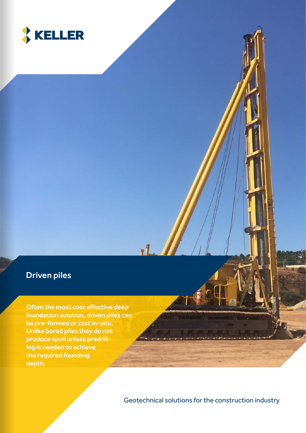

## Driven piles

Often the most cost effective deep foundation solution, driven piles can be pre-formed or cast in-situ. Unlike bored piles they do not produce spoil unless predrilling is needed to achieve the required founding depth.

Geotechnical solutions for the construction industry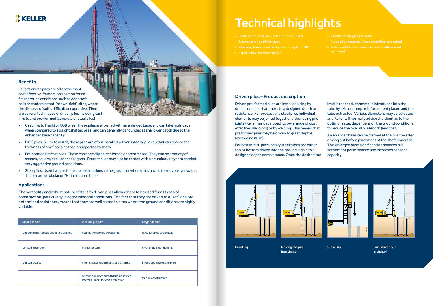# KELLER

## **Benefits**

Locating **Driving the pile Close-up** into the soil



Final driven pile in the soil

Keller's driven piles are often the most cost effective foundation solution for difficult ground conditions such as deep soft soils or contaminated "brown-field" sites, where the disposal of soil is difficult or expensive. There are several techniques of driven piles including cast in-situ and pre-formed (concrete or steel piles) :

- Cast in-situ Franki or KGB piles. These piles are formed with an enlarged base, and can take high loads when compared to straight shafted piles, and can generally be founded at shallower depth due to the enhanced base capacity.
- DCIS piles. Quick to install, these piles are often installed with an integral pile cap that can reduce the thickness of any floor slab that is supported by them.
- Pre-formed Precast piles. These can normally be reinforced or prestressed. They can be a variety of shapes, square, circular or hexagonal. Precast piles may also be coated with a bituminous layer to combat very aggressive ground conditions.
- Steel piles. Useful where there are obstructions in the ground or where piles have to be driven over water. These can be tubular or "H" in section shape.

### Applications

The versatility and robust nature of Keller's driven piles allows them to be used for all types of construction, particularly in aggressive soil conditions. The fact that they are driven to a "set" or a predetermined resistance, means that they are well suited to sites where the ground conditions are highly variable.

# Technical highlights

- 
- 
- 
- Rapid follow-on construction
- 
- 
- Noise and vibration needs to be considered and managed

## Driven piles – Product description

Driven pre-formed piles are installed using hydraulic or diesel hammers to a designed depth or resistance. For precast and steel piles individual elements may be joined together either using pile joints (Keller has developed its own range of cost effective pile joints) or by welding. This means that preformed piles may be driven to great depths (exceeding 80 m).

For cast in-situ piles, heavy steel tubes are either top or bottom driven into the ground, again to a designed depth or resistance. Once the desired toe





| Small pile size                         | Medium pile size                                                                  | Large pile size            |
|-----------------------------------------|-----------------------------------------------------------------------------------|----------------------------|
| Underpinning houses and light buildings | Foundations for new buildings                                                     | Wind turbines and pylons   |
| Limited headroom                        | Infrastructure                                                                    | River bridge foundations   |
| Difficult access                        | Floor slabs and load transfer platforms                                           | Bridge abutments and piers |
|                                         | Used in conjunction with king post walls -<br>lateral support for earth retention | Marine construction        |

level is reached, concrete is introduced into the tube by skip or pump, reinforcement placed and the tube extracted. Various diameters may be selected and Keller will normally advise the client as to the optimum size, dependent on the ground conditions, to reduce the overall pile length (and cost).

An enlarged base can be formed at the pile toe after driving but before placement of the shaft concrete. This enlarged base significantly enhances pile settlement performance and increases pile load capacity.